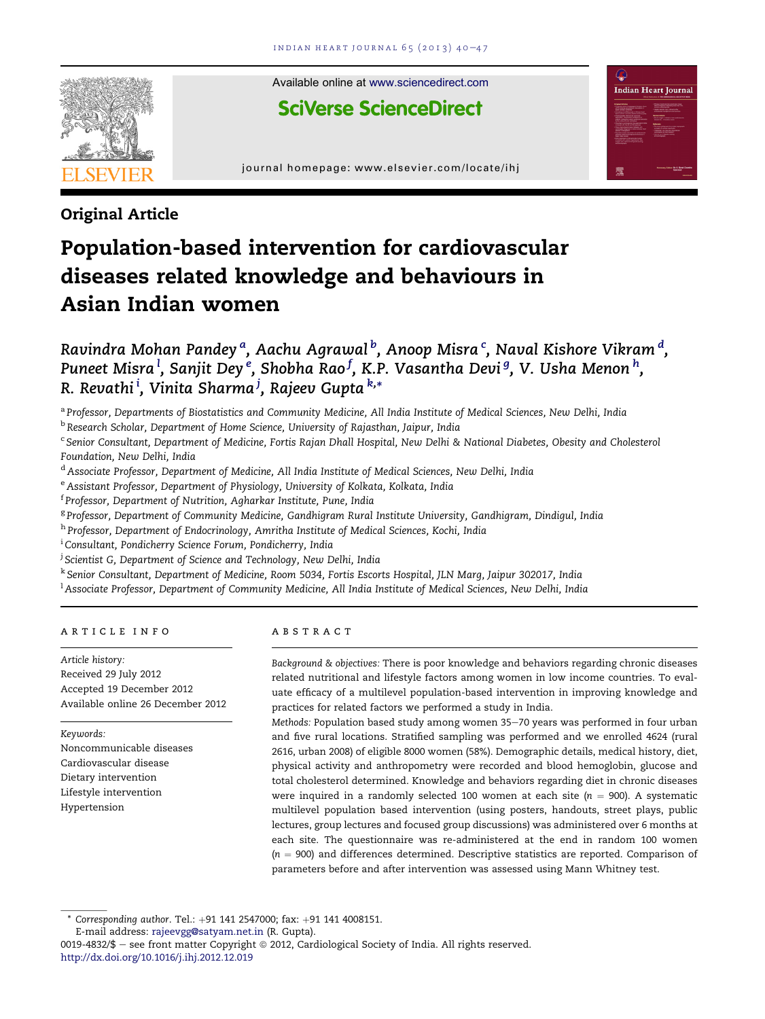

Available online at [www.sciencedirect.com](www.sciencedirect.com/science/journal/00194832)

Indian Heart Journal

**SciVerse ScienceDirect** 

journal homepage:<www.elsevier.com/locate/ihj>

# Original Article

# Population-based intervention for cardiovascular diseases related knowledge and behaviours in Asian Indian women

Ravindra Mohan Pandey <sup>a</sup>, Aachu Agrawal <sup>b</sup>, Anoop Misra <sup>c</sup>, Naval Kishore Vikram <sup>d</sup>, Puneet Misra  $^{\rm l}$ , Sanjit Dey  $^{\rm e}$ , Shobha Rao  $^{\rm f}$ , K.P. Vasantha Devi  $^{\rm g}$ , V. Usha Menon  $^{\rm h}$ , R. Revathi<sup>i</sup>, Vinita Sharma<sup>j</sup>, Rajeev Gupta<sup>k,</sup>\*

a Professor, Departments of Biostatistics and Community Medicine, All India Institute of Medical Sciences, New Delhi, India

<sup>b</sup> Research Scholar, Department of Home Science, University of Rajasthan, Jaipur, India

<sup>c</sup> Senior Consultant, Department of Medicine, Fortis Rajan Dhall Hospital, New Delhi & National Diabetes, Obesity and Cholesterol Foundation, New Delhi, India

<sup>d</sup> Associate Professor, Department of Medicine, All India Institute of Medical Sciences, New Delhi, India

<sup>e</sup> Assistant Professor, Department of Physiology, University of Kolkata, Kolkata, India

<sup>f</sup> Professor, Department of Nutrition, Agharkar Institute, Pune, India

<sup>g</sup> Professor, Department of Community Medicine, Gandhigram Rural Institute University, Gandhigram, Dindigul, India

h Professor, Department of Endocrinology, Amritha Institute of Medical Sciences, Kochi, India

<sup>i</sup> Consultant, Pondicherry Science Forum, Pondicherry, India

<sup>j</sup> Scientist G, Department of Science and Technology, New Delhi, India

<sup>k</sup> Senior Consultant, Department of Medicine, Room 5034, Fortis Escorts Hospital, JLN Marg, Jaipur 302017, India

<sup>1</sup> Associate Professor, Department of Community Medicine, All India Institute of Medical Sciences, New Delhi, India

article info

Article history: Received 29 July 2012 Accepted 19 December 2012 Available online 26 December 2012

Keywords: Noncommunicable diseases Cardiovascular disease Dietary intervention Lifestyle intervention Hypertension

# abstract

Background & objectives: There is poor knowledge and behaviors regarding chronic diseases related nutritional and lifestyle factors among women in low income countries. To evaluate efficacy of a multilevel population-based intervention in improving knowledge and practices for related factors we performed a study in India.

Methods: Population based study among women 35-70 years was performed in four urban and five rural locations. Stratified sampling was performed and we enrolled 4624 (rural 2616, urban 2008) of eligible 8000 women (58%). Demographic details, medical history, diet, physical activity and anthropometry were recorded and blood hemoglobin, glucose and total cholesterol determined. Knowledge and behaviors regarding diet in chronic diseases were inquired in a randomly selected 100 women at each site ( $n = 900$ ). A systematic multilevel population based intervention (using posters, handouts, street plays, public lectures, group lectures and focused group discussions) was administered over 6 months at each site. The questionnaire was re-administered at the end in random 100 women  $(n = 900)$  and differences determined. Descriptive statistics are reported. Comparison of parameters before and after intervention was assessed using Mann Whitney test.

Corresponding author. Tel.: +91 141 2547000; fax: +91 141 4008151.

0019-4832/\$ - see front matter Copyright © 2012, Cardiological Society of India. All rights reserved. <http://dx.doi.org/10.1016/j.ihj.2012.12.019>

E-mail address: [rajeevgg@satyam.net.in](mailto:rajeevgg@satyam.net.in) (R. Gupta).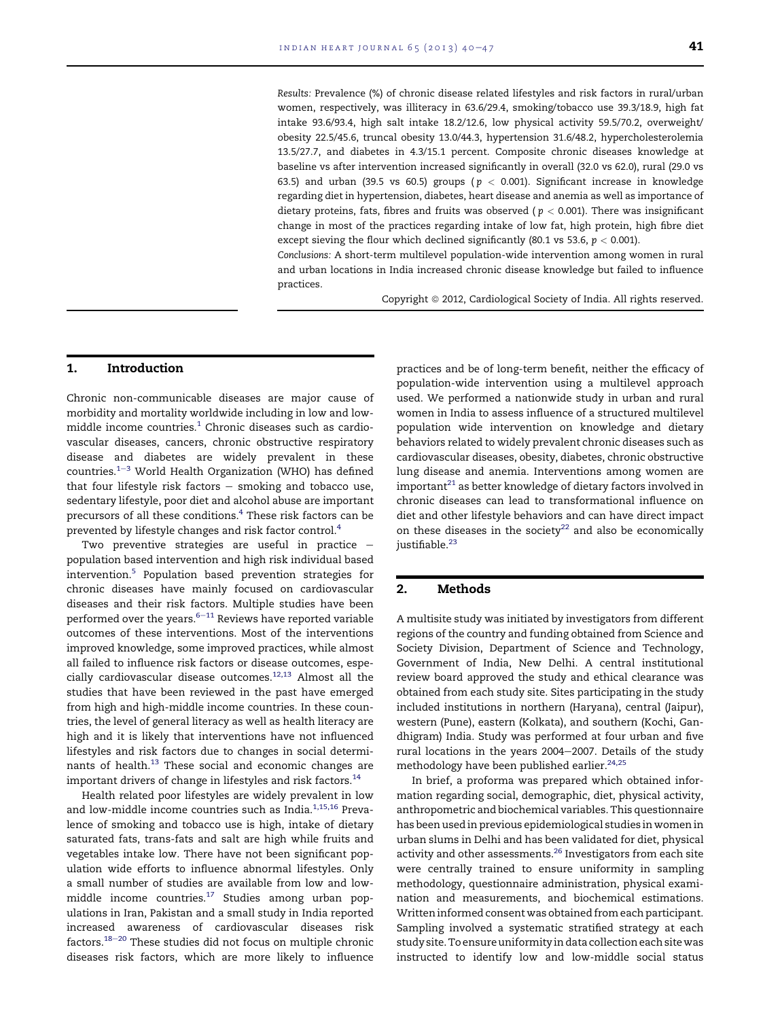Results: Prevalence (%) of chronic disease related lifestyles and risk factors in rural/urban women, respectively, was illiteracy in 63.6/29.4, smoking/tobacco use 39.3/18.9, high fat intake 93.6/93.4, high salt intake 18.2/12.6, low physical activity 59.5/70.2, overweight/ obesity 22.5/45.6, truncal obesity 13.0/44.3, hypertension 31.6/48.2, hypercholesterolemia 13.5/27.7, and diabetes in 4.3/15.1 percent. Composite chronic diseases knowledge at baseline vs after intervention increased significantly in overall (32.0 vs 62.0), rural (29.0 vs 63.5) and urban (39.5 vs 60.5) groups ( $p < 0.001$ ). Significant increase in knowledge regarding diet in hypertension, diabetes, heart disease and anemia as well as importance of dietary proteins, fats, fibres and fruits was observed ( $p < 0.001$ ). There was insignificant change in most of the practices regarding intake of low fat, high protein, high fibre diet except sieving the flour which declined significantly (80.1 vs 53.6,  $p < 0.001$ ).

Conclusions: A short-term multilevel population-wide intervention among women in rural and urban locations in India increased chronic disease knowledge but failed to influence practices.

Copyright © 2012, Cardiological Society of India. All rights reserved.

# 1. Introduction

Chronic non-communicable diseases are major cause of morbidity and mortality worldwide including in low and lowmiddle income countries. $1$  Chronic diseases such as cardiovascular diseases, cancers, chronic obstructive respiratory disease and diabetes are widely prevalent in these countries. $1-3$  $1-3$  $1-3$  World Health Organization (WHO) has defined that four lifestyle risk factors  $-$  smoking and tobacco use, sedentary lifestyle, poor diet and alcohol abuse are important precursors of all these conditions[.4](#page-7-0) These risk factors can be prevented by lifestyle changes and risk factor control.<sup>[4](#page-7-0)</sup>

Two preventive strategies are useful in practice  $$ population based intervention and high risk individual based intervention.[5](#page-7-0) Population based prevention strategies for chronic diseases have mainly focused on cardiovascular diseases and their risk factors. Multiple studies have been performed over the years. $6-11$  $6-11$  $6-11$  Reviews have reported variable outcomes of these interventions. Most of the interventions improved knowledge, some improved practices, while almost all failed to influence risk factors or disease outcomes, especially cardiovascular disease outcomes[.12,13](#page-7-0) Almost all the studies that have been reviewed in the past have emerged from high and high-middle income countries. In these countries, the level of general literacy as well as health literacy are high and it is likely that interventions have not influenced lifestyles and risk factors due to changes in social determinants of health.<sup>13</sup> These social and economic changes are important drivers of change in lifestyles and risk factors.<sup>14</sup>

Health related poor lifestyles are widely prevalent in low and low-middle income countries such as India. $1,15,16$  Prevalence of smoking and tobacco use is high, intake of dietary saturated fats, trans-fats and salt are high while fruits and vegetables intake low. There have not been significant population wide efforts to influence abnormal lifestyles. Only a small number of studies are available from low and lowmiddle income countries. $17$  Studies among urban populations in Iran, Pakistan and a small study in India reported increased awareness of cardiovascular diseases risk factors. $18-20$  $18-20$  $18-20$  These studies did not focus on multiple chronic diseases risk factors, which are more likely to influence practices and be of long-term benefit, neither the efficacy of population-wide intervention using a multilevel approach used. We performed a nationwide study in urban and rural women in India to assess influence of a structured multilevel population wide intervention on knowledge and dietary behaviors related to widely prevalent chronic diseases such as cardiovascular diseases, obesity, diabetes, chronic obstructive lung disease and anemia. Interventions among women are  $im$  portant<sup>21</sup> as better knowledge of dietary factors involved in chronic diseases can lead to transformational influence on diet and other lifestyle behaviors and can have direct impact on these diseases in the society<sup>[22](#page-7-0)</sup> and also be economically justifiable.<sup>[23](#page-7-0)</sup>

#### 2. Methods

A multisite study was initiated by investigators from different regions of the country and funding obtained from Science and Society Division, Department of Science and Technology, Government of India, New Delhi. A central institutional review board approved the study and ethical clearance was obtained from each study site. Sites participating in the study included institutions in northern (Haryana), central (Jaipur), western (Pune), eastern (Kolkata), and southern (Kochi, Gandhigram) India. Study was performed at four urban and five rural locations in the years 2004-2007. Details of the study methodology have been published earlier.<sup>24,25</sup>

In brief, a proforma was prepared which obtained information regarding social, demographic, diet, physical activity, anthropometric and biochemical variables. This questionnaire has been used in previous epidemiological studies in women in urban slums in Delhi and has been validated for diet, physical activity and other assessments.<sup>26</sup> Investigators from each site were centrally trained to ensure uniformity in sampling methodology, questionnaire administration, physical examination and measurements, and biochemical estimations. Written informed consent was obtained from each participant. Sampling involved a systematic stratified strategy at each study site. To ensure uniformity in data collection each sitewas instructed to identify low and low-middle social status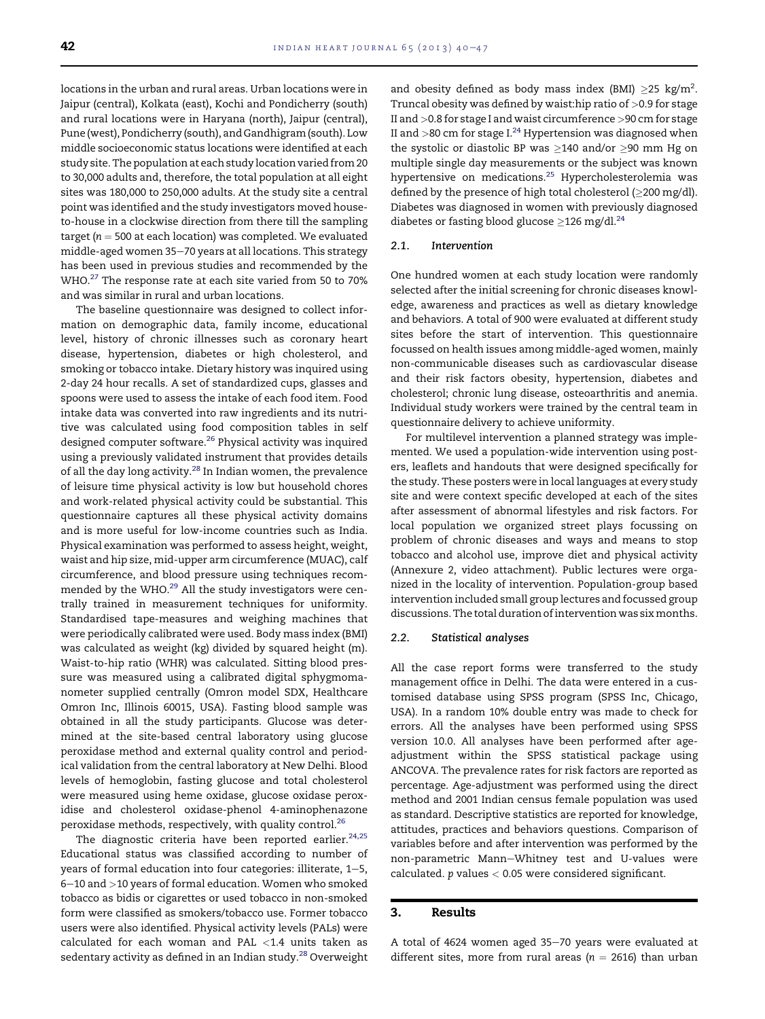locations in the urban and rural areas. Urban locations were in Jaipur (central), Kolkata (east), Kochi and Pondicherry (south) and rural locations were in Haryana (north), Jaipur (central), Pune (west), Pondicherry (south), and Gandhigram (south). Low middle socioeconomic status locations were identified at each study site. The population at each study location varied from 20 to 30,000 adults and, therefore, the total population at all eight sites was 180,000 to 250,000 adults. At the study site a central point was identified and the study investigators moved houseto-house in a clockwise direction from there till the sampling target ( $n = 500$  at each location) was completed. We evaluated middle-aged women 35-70 years at all locations. This strategy has been used in previous studies and recommended by the WHO.<sup>27</sup> The response rate at each site varied from 50 to 70% and was similar in rural and urban locations.

The baseline questionnaire was designed to collect information on demographic data, family income, educational level, history of chronic illnesses such as coronary heart disease, hypertension, diabetes or high cholesterol, and smoking or tobacco intake. Dietary history was inquired using 2-day 24 hour recalls. A set of standardized cups, glasses and spoons were used to assess the intake of each food item. Food intake data was converted into raw ingredients and its nutritive was calculated using food composition tables in self designed computer software.<sup>[26](#page-7-0)</sup> Physical activity was inquired using a previously validated instrument that provides details of all the day long activity.<sup>[28](#page-7-0)</sup> In Indian women, the prevalence of leisure time physical activity is low but household chores and work-related physical activity could be substantial. This questionnaire captures all these physical activity domains and is more useful for low-income countries such as India. Physical examination was performed to assess height, weight, waist and hip size, mid-upper arm circumference (MUAC), calf circumference, and blood pressure using techniques recommended by the WHO.<sup>29</sup> All the study investigators were centrally trained in measurement techniques for uniformity. Standardised tape-measures and weighing machines that were periodically calibrated were used. Body mass index (BMI) was calculated as weight (kg) divided by squared height (m). Waist-to-hip ratio (WHR) was calculated. Sitting blood pressure was measured using a calibrated digital sphygmomanometer supplied centrally (Omron model SDX, Healthcare Omron Inc, Illinois 60015, USA). Fasting blood sample was obtained in all the study participants. Glucose was determined at the site-based central laboratory using glucose peroxidase method and external quality control and periodical validation from the central laboratory at New Delhi. Blood levels of hemoglobin, fasting glucose and total cholesterol were measured using heme oxidase, glucose oxidase peroxidise and cholesterol oxidase-phenol 4-aminophenazone peroxidase methods, respectively, with quality control.<sup>26</sup>

The diagnostic criteria have been reported earlier.<sup>[24,25](#page-7-0)</sup> Educational status was classified according to number of years of formal education into four categories: illiterate,  $1-5$ , 6-10 and >10 years of formal education. Women who smoked tobacco as bidis or cigarettes or used tobacco in non-smoked form were classified as smokers/tobacco use. Former tobacco users were also identified. Physical activity levels (PALs) were calculated for each woman and PAL <1.4 units taken as sedentary activity as defined in an Indian study.<sup>[28](#page-7-0)</sup> Overweight

and obesity defined as body mass index (BMI)  $\geq$ 25 kg/m<sup>2</sup>. Truncal obesity was defined by waist:hip ratio of >0.9 for stage II and >0.8 for stage I and waist circumference >90 cm for stage II and  $>$ 80 cm for stage I. $^{24}$  Hypertension was diagnosed when the systolic or diastolic BP was  $\geq$ 140 and/or  $\geq$ 90 mm Hg on multiple single day measurements or the subject was known hypertensive on medications.<sup>[25](#page-7-0)</sup> Hypercholesterolemia was defined by the presence of high total cholesterol ( $\geq$ 200 mg/dl). Diabetes was diagnosed in women with previously diagnosed diabetes or fasting blood glucose  $\geq$ 126 mg/dl.<sup>24</sup>

#### 2.1. Intervention

One hundred women at each study location were randomly selected after the initial screening for chronic diseases knowledge, awareness and practices as well as dietary knowledge and behaviors. A total of 900 were evaluated at different study sites before the start of intervention. This questionnaire focussed on health issues among middle-aged women, mainly non-communicable diseases such as cardiovascular disease and their risk factors obesity, hypertension, diabetes and cholesterol; chronic lung disease, osteoarthritis and anemia. Individual study workers were trained by the central team in questionnaire delivery to achieve uniformity.

For multilevel intervention a planned strategy was implemented. We used a population-wide intervention using posters, leaflets and handouts that were designed specifically for the study. These posters were in local languages at every study site and were context specific developed at each of the sites after assessment of abnormal lifestyles and risk factors. For local population we organized street plays focussing on problem of chronic diseases and ways and means to stop tobacco and alcohol use, improve diet and physical activity (Annexure 2, video attachment). Public lectures were organized in the locality of intervention. Population-group based intervention included small group lectures and focussed group discussions. The total duration of intervention was six months.

#### 2.2. Statistical analyses

All the case report forms were transferred to the study management office in Delhi. The data were entered in a customised database using SPSS program (SPSS Inc, Chicago, USA). In a random 10% double entry was made to check for errors. All the analyses have been performed using SPSS version 10.0. All analyses have been performed after ageadjustment within the SPSS statistical package using ANCOVA. The prevalence rates for risk factors are reported as percentage. Age-adjustment was performed using the direct method and 2001 Indian census female population was used as standard. Descriptive statistics are reported for knowledge, attitudes, practices and behaviors questions. Comparison of variables before and after intervention was performed by the non-parametric Mann-Whitney test and U-values were calculated.  $p$  values  $< 0.05$  were considered significant.

#### 3. Results

A total of 4624 women aged 35-70 years were evaluated at different sites, more from rural areas ( $n = 2616$ ) than urban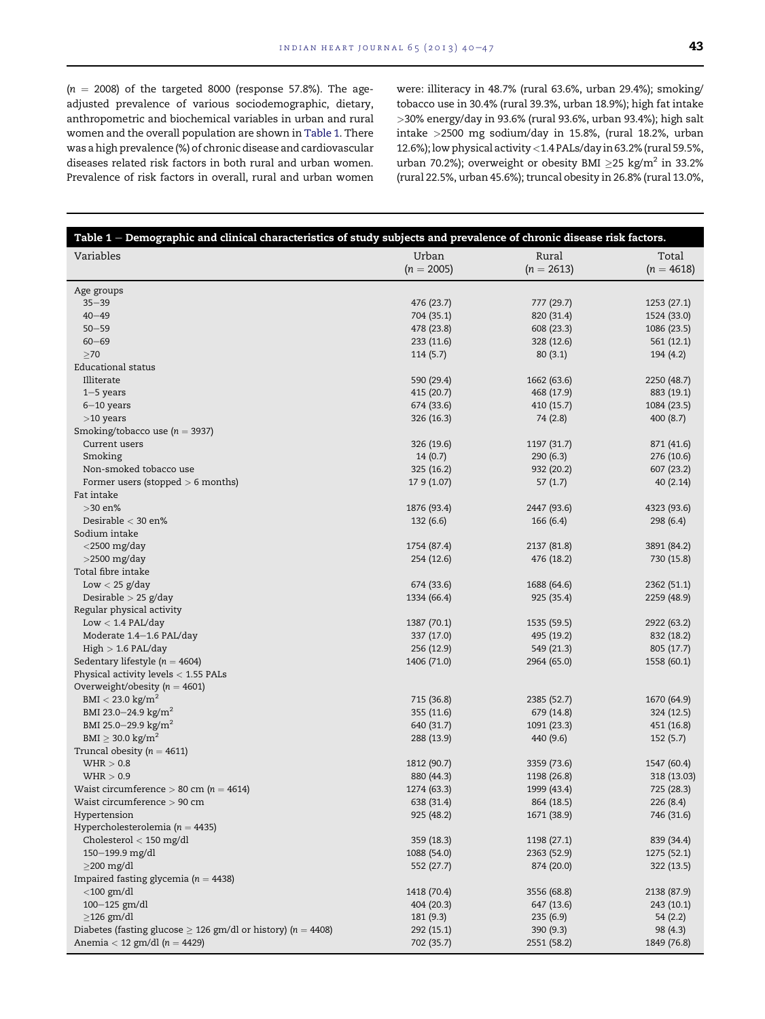$(n = 2008)$  of the targeted 8000 (response 57.8%). The ageadjusted prevalence of various sociodemographic, dietary, anthropometric and biochemical variables in urban and rural women and the overall population are shown in Table 1. There was a high prevalence (%) of chronic disease and cardiovascular diseases related risk factors in both rural and urban women. Prevalence of risk factors in overall, rural and urban women

were: illiteracy in 48.7% (rural 63.6%, urban 29.4%); smoking/ tobacco use in 30.4% (rural 39.3%, urban 18.9%); high fat intake >30% energy/day in 93.6% (rural 93.6%, urban 93.4%); high salt intake >2500 mg sodium/day in 15.8%, (rural 18.2%, urban 12.6%); low physical activity<1.4 PALs/day in 63.2% (rural 59.5%, urban 70.2%); overweight or obesity BMI  $\geq$ 25 kg/m<sup>2</sup> in 33.2% (rural 22.5%, urban 45.6%); truncal obesity in 26.8% (rural 13.0%,

| Table 1 – Demographic and clinical characteristics of study subjects and prevalence of chronic disease risk factors. |              |              |              |
|----------------------------------------------------------------------------------------------------------------------|--------------|--------------|--------------|
| Variables                                                                                                            | Urban        | Rural        | Total        |
|                                                                                                                      | $(n = 2005)$ | $(n = 2613)$ | $(n = 4618)$ |
|                                                                                                                      |              |              |              |
| Age groups                                                                                                           |              |              |              |
| $35 - 39$                                                                                                            | 476 (23.7)   | 777 (29.7)   | 1253 (27.1)  |
| $40 - 49$                                                                                                            | 704 (35.1)   | 820 (31.4)   | 1524 (33.0)  |
| $50 - 59$                                                                                                            | 478 (23.8)   | 608 (23.3)   | 1086 (23.5)  |
| $60 - 69$                                                                                                            | 233 (11.6)   | 328 (12.6)   | 561 (12.1)   |
| $\geq 70$                                                                                                            | 114(5.7)     | 80(3.1)      | 194 (4.2)    |
| Educational status                                                                                                   |              |              |              |
| Illiterate                                                                                                           | 590 (29.4)   | 1662 (63.6)  | 2250 (48.7)  |
| $1-5$ years                                                                                                          | 415 (20.7)   | 468 (17.9)   | 883 (19.1)   |
| $6-10$ years                                                                                                         | 674 (33.6)   | 410 (15.7)   | 1084 (23.5)  |
| $>10$ years                                                                                                          | 326 (16.3)   | 74 (2.8)     | 400(8.7)     |
| Smoking/tobacco use ( $n = 3937$ )                                                                                   |              |              |              |
| Current users                                                                                                        | 326 (19.6)   | 1197 (31.7)  | 871 (41.6)   |
| Smoking                                                                                                              | 14(0.7)      | 290(6.3)     | 276 (10.6)   |
| Non-smoked tobacco use                                                                                               | 325 (16.2)   | 932 (20.2)   | 607 (23.2)   |
| Former users (stopped $> 6$ months)                                                                                  | 17 9 (1.07)  | 57(1.7)      | 40(2.14)     |
| Fat intake                                                                                                           |              |              |              |
| $>$ 30 en%                                                                                                           | 1876 (93.4)  | 2447 (93.6)  | 4323 (93.6)  |
| Desirable $<$ 30 en%                                                                                                 | 132(6.6)     | 166(6.4)     | 298 (6.4)    |
| Sodium intake                                                                                                        |              |              |              |
| $<$ 2500 mg/day                                                                                                      | 1754 (87.4)  | 2137 (81.8)  | 3891 (84.2)  |
| $>$ 2500 mg/day                                                                                                      | 254 (12.6)   | 476 (18.2)   | 730 (15.8)   |
| Total fibre intake                                                                                                   |              |              |              |
| Low $<$ 25 g/day                                                                                                     | 674 (33.6)   | 1688 (64.6)  | 2362 (51.1)  |
| Desirable $> 25$ g/day                                                                                               | 1334 (66.4)  | 925 (35.4)   | 2259 (48.9)  |
| Regular physical activity                                                                                            |              |              |              |
| $Low < 1.4$ $PAL/day$                                                                                                | 1387 (70.1)  | 1535 (59.5)  | 2922 (63.2)  |
| Moderate 1.4-1.6 PAL/day                                                                                             | 337 (17.0)   | 495 (19.2)   | 832 (18.2)   |
| High > 1.6 PAL/day                                                                                                   | 256 (12.9)   | 549 (21.3)   | 805 (17.7)   |
| Sedentary lifestyle ( $n = 4604$ )                                                                                   | 1406 (71.0)  | 2964 (65.0)  | 1558 (60.1)  |
| Physical activity levels $<$ 1.55 PALs                                                                               |              |              |              |
| Overweight/obesity ( $n = 4601$ )                                                                                    |              |              |              |
| $BMI < 23.0$ kg/m <sup>2</sup>                                                                                       | 715 (36.8)   | 2385 (52.7)  | 1670 (64.9)  |
| BMI 23.0-24.9 kg/m <sup>2</sup>                                                                                      | 355 (11.6)   | 679 (14.8)   | 324 (12.5)   |
| BMI 25.0-29.9 kg/m <sup>2</sup>                                                                                      | 640 (31.7)   | 1091 (23.3)  | 451 (16.8)   |
| BMI $\geq$ 30.0 kg/m <sup>2</sup>                                                                                    | 288 (13.9)   | 440 (9.6)    | 152 (5.7)    |
| Truncal obesity ( $n = 4611$ )                                                                                       |              |              |              |
| WHR > 0.8                                                                                                            | 1812 (90.7)  | 3359 (73.6)  | 1547 (60.4)  |
| WHR > 0.9                                                                                                            | 880 (44.3)   | 1198 (26.8)  | 318 (13.03)  |
| Waist circumference $> 80$ cm (n = 4614)                                                                             | 1274 (63.3)  | 1999 (43.4)  | 725 (28.3)   |
| Waist circumference > 90 cm                                                                                          | 638 (31.4)   | 864 (18.5)   | 226 (8.4)    |
| Hypertension                                                                                                         | 925 (48.2)   | 1671 (38.9)  | 746 (31.6)   |
| Hypercholesterolemia ( $n = 4435$ )                                                                                  |              |              |              |
| Cholesterol $<$ 150 mg/dl                                                                                            | 359 (18.3)   | 1198 (27.1)  | 839 (34.4)   |
| 150-199.9 mg/dl                                                                                                      | 1088 (54.0)  | 2363 (52.9)  | 1275 (52.1)  |
| $\geq$ 200 mg/dl                                                                                                     | 552 (27.7)   | 874 (20.0)   | 322 (13.5)   |
| Impaired fasting glycemia ( $n = 4438$ )                                                                             |              |              |              |
| $<$ 100 gm/dl                                                                                                        | 1418 (70.4)  | 3556 (68.8)  | 2138 (87.9)  |
| 100-125 gm/dl                                                                                                        | 404 (20.3)   | 647 (13.6)   | 243 (10.1)   |
| $\geq$ 126 gm/dl                                                                                                     | 181 (9.3)    | 235(6.9)     | 54 (2.2)     |
| Diabetes (fasting glucose $\geq$ 126 gm/dl or history) (n = 4408)                                                    | 292 (15.1)   | 390(9.3)     | 98 (4.3)     |
| Anemia < 12 gm/dl ( $n = 4429$ )                                                                                     | 702 (35.7)   | 2551 (58.2)  | 1849 (76.8)  |
|                                                                                                                      |              |              |              |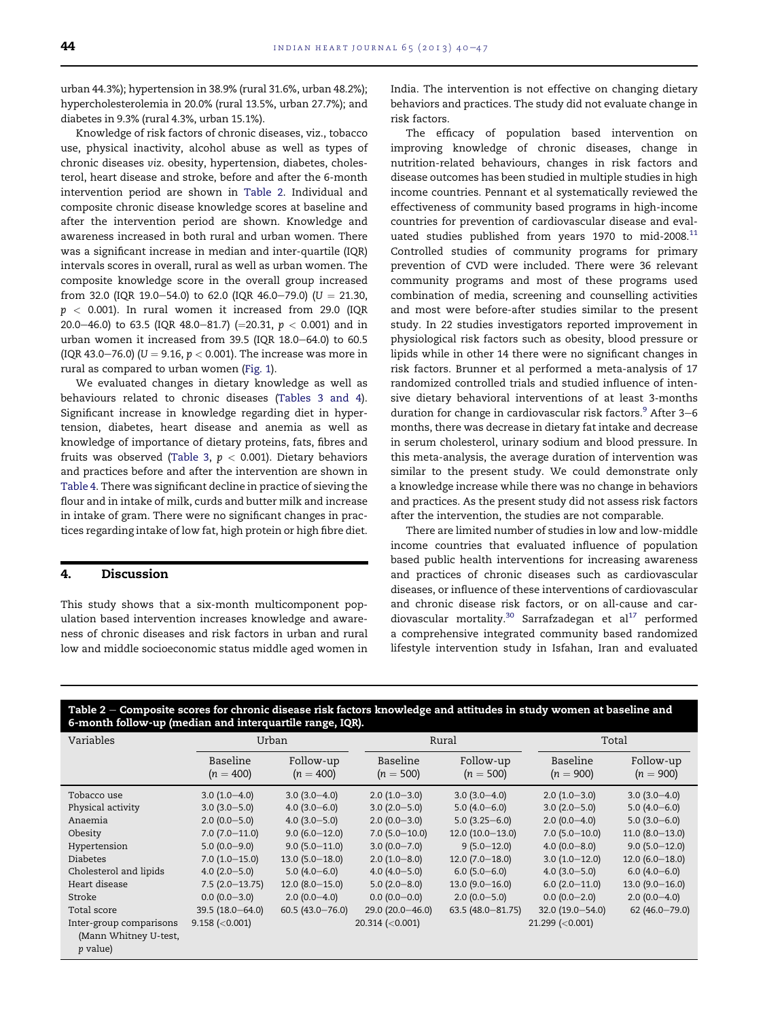urban 44.3%); hypertension in 38.9% (rural 31.6%, urban 48.2%); hypercholesterolemia in 20.0% (rural 13.5%, urban 27.7%); and diabetes in 9.3% (rural 4.3%, urban 15.1%).

Knowledge of risk factors of chronic diseases, viz., tobacco use, physical inactivity, alcohol abuse as well as types of chronic diseases viz. obesity, hypertension, diabetes, cholesterol, heart disease and stroke, before and after the 6-month intervention period are shown in Table 2. Individual and composite chronic disease knowledge scores at baseline and after the intervention period are shown. Knowledge and awareness increased in both rural and urban women. There was a significant increase in median and inter-quartile (IQR) intervals scores in overall, rural as well as urban women. The composite knowledge score in the overall group increased from 32.0 (IQR 19.0–54.0) to 62.0 (IQR 46.0–79.0) (U = 21.30,  $p < 0.001$ ). In rural women it increased from 29.0 (IQR 20.0-46.0) to 63.5 (IQR 48.0-81.7) (=20.31,  $p < 0.001$ ) and in urban women it increased from  $39.5$  (IQR  $18.0-64.0$ ) to  $60.5$ (IQR 43.0–76.0) (U = 9.16,  $p < 0.001$ ). The increase was more in rural as compared to urban women ([Fig. 1](#page-5-0)).

We evaluated changes in dietary knowledge as well as behaviours related to chronic diseases ([Tables 3 and 4\)](#page-5-0). Significant increase in knowledge regarding diet in hypertension, diabetes, heart disease and anemia as well as knowledge of importance of dietary proteins, fats, fibres and fruits was observed [\(Table 3,](#page-5-0)  $p < 0.001$ ). Dietary behaviors and practices before and after the intervention are shown in [Table 4.](#page-6-0) There was significant decline in practice of sieving the flour and in intake of milk, curds and butter milk and increase in intake of gram. There were no significant changes in practices regarding intake of low fat, high protein or high fibre diet.

#### 4. Discussion

This study shows that a six-month multicomponent population based intervention increases knowledge and awareness of chronic diseases and risk factors in urban and rural low and middle socioeconomic status middle aged women in India. The intervention is not effective on changing dietary behaviors and practices. The study did not evaluate change in risk factors.

The efficacy of population based intervention on improving knowledge of chronic diseases, change in nutrition-related behaviours, changes in risk factors and disease outcomes has been studied in multiple studies in high income countries. Pennant et al systematically reviewed the effectiveness of community based programs in high-income countries for prevention of cardiovascular disease and evaluated studies published from years 1970 to mid-2008. $^{11}$  $^{11}$  $^{11}$ Controlled studies of community programs for primary prevention of CVD were included. There were 36 relevant community programs and most of these programs used combination of media, screening and counselling activities and most were before-after studies similar to the present study. In 22 studies investigators reported improvement in physiological risk factors such as obesity, blood pressure or lipids while in other 14 there were no significant changes in risk factors. Brunner et al performed a meta-analysis of 17 randomized controlled trials and studied influence of intensive dietary behavioral interventions of at least 3-months duration for change in cardiovascular risk factors. $9$  After 3–6 months, there was decrease in dietary fat intake and decrease in serum cholesterol, urinary sodium and blood pressure. In this meta-analysis, the average duration of intervention was similar to the present study. We could demonstrate only a knowledge increase while there was no change in behaviors and practices. As the present study did not assess risk factors after the intervention, the studies are not comparable.

There are limited number of studies in low and low-middle income countries that evaluated influence of population based public health interventions for increasing awareness and practices of chronic diseases such as cardiovascular diseases, or influence of these interventions of cardiovascular and chronic disease risk factors, or on all-cause and car-diovascular mortality.<sup>[30](#page-7-0)</sup> Sarrafzadegan et al<sup>17</sup> performed a comprehensive integrated community based randomized lifestyle intervention study in Isfahan, Iran and evaluated

| o month follow up inculan and interquatine fange, folly.            |                         |                          |                         |                          |                         |                          |  |  |  |
|---------------------------------------------------------------------|-------------------------|--------------------------|-------------------------|--------------------------|-------------------------|--------------------------|--|--|--|
| Variables                                                           |                         | Urban                    |                         | Rural                    | Total                   |                          |  |  |  |
|                                                                     | Baseline<br>$(n = 400)$ | Follow-up<br>$(n = 400)$ | Baseline<br>$(n = 500)$ | Follow-up<br>$(n = 500)$ | Baseline<br>$(n = 900)$ | Follow-up<br>$(n = 900)$ |  |  |  |
| Tobacco use                                                         | $3.0(1.0-4.0)$          | $3.0(3.0-4.0)$           | $2.0(1.0-3.0)$          | $3.0(3.0-4.0)$           | $2.0(1.0-3.0)$          | $3.0(3.0-4.0)$           |  |  |  |
| Physical activity                                                   | $3.0(3.0 - 5.0)$        | $4.0(3.0-6.0)$           | $3.0(2.0 - 5.0)$        | $5.0(4.0-6.0)$           | $3.0(2.0 - 5.0)$        | $5.0(4.0-6.0)$           |  |  |  |
| Anaemia                                                             | $2.0(0.0 - 5.0)$        | $4.0(3.0 - 5.0)$         | $2.0(0.0-3.0)$          | $5.0(3.25 - 6.0)$        | $2.0(0.0-4.0)$          | $5.0(3.0-6.0)$           |  |  |  |
| Obesity                                                             | $7.0(7.0-11.0)$         | $9.0(6.0-12.0)$          | $7.0(5.0-10.0)$         | $12.0(10.0-13.0)$        | $7.0(5.0-10.0)$         | $11.0 (8.0 - 13.0)$      |  |  |  |
| Hypertension                                                        | $5.0(0.0-9.0)$          | $9.0(5.0-11.0)$          | $3.0(0.0 - 7.0)$        | $9(5.0-12.0)$            | $4.0(0.0 - 8.0)$        | $9.0(5.0-12.0)$          |  |  |  |
| <b>Diabetes</b>                                                     | $7.0(1.0-15.0)$         | $13.0(5.0-18.0)$         | $2.0(1.0-8.0)$          | $12.0(7.0-18.0)$         | $3.0(1.0-12.0)$         | $12.0(6.0-18.0)$         |  |  |  |
| Cholesterol and lipids                                              | $4.0(2.0 - 5.0)$        | $5.0(4.0 - 6.0)$         | $4.0(4.0 - 5.0)$        | $6.0(5.0-6.0)$           | $4.0(3.0 - 5.0)$        | $6.0(4.0 - 6.0)$         |  |  |  |
| Heart disease                                                       | $7.5(2.0-13.75)$        | $12.0(8.0-15.0)$         | $5.0(2.0-8.0)$          | $13.0(9.0-16.0)$         | $6.0(2.0-11.0)$         | $13.0(9.0-16.0)$         |  |  |  |
| Stroke                                                              | $0.0(0.0-3.0)$          | $2.0(0.0-4.0)$           | $0.0(0.0-0.0)$          | $2.0(0.0 - 5.0)$         | $0.0(0.0-2.0)$          | $2.0(0.0-4.0)$           |  |  |  |
| Total score                                                         | 39.5 (18.0-64.0)        | $60.5(43.0 - 76.0)$      | 29.0 (20.0 - 46.0)      | 63.5 $(48.0 - 81.75)$    | 32.0 (19.0-54.0)        | $62(46.0 - 79.0)$        |  |  |  |
| Inter-group comparisons<br>(Mann Whitney U-test,<br><i>p</i> value) | $9.158$ (<0.001)        |                          | $20.314$ (<0.001)       |                          | $21.299$ (<0.001)       |                          |  |  |  |

# Table  $2$  – Composite scores for chronic disease risk factors knowledge and attitudes in study women at baseline and 6-month follow-up (median and interquartile range, IQR).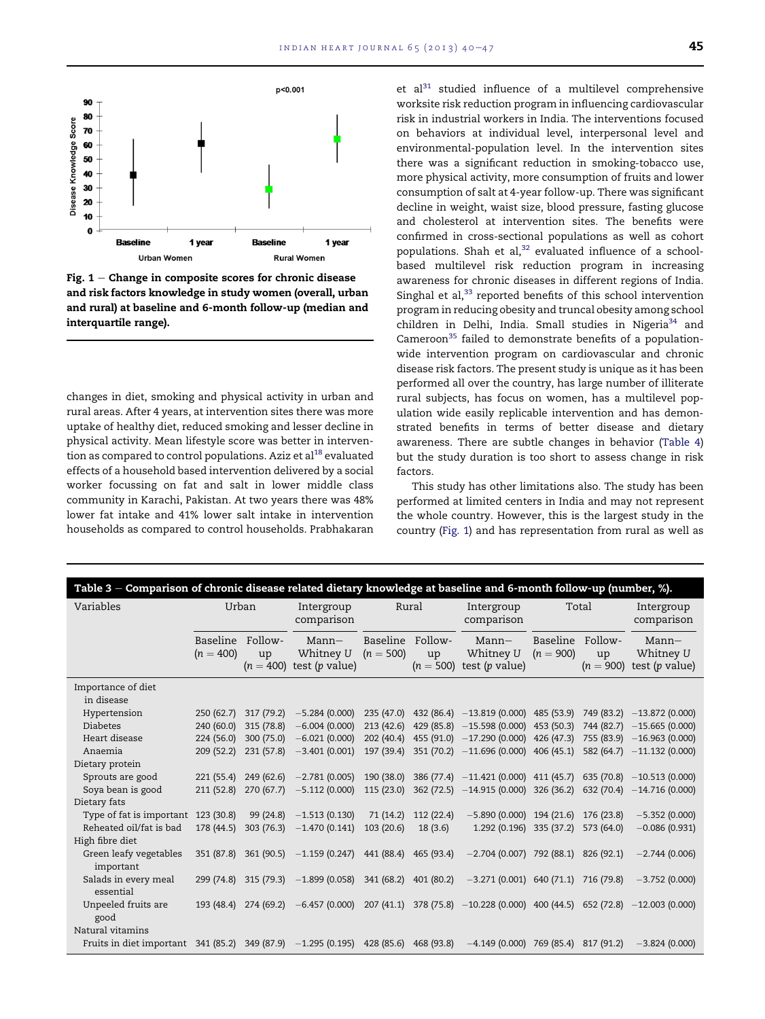<span id="page-5-0"></span>

Fig.  $1$  – Change in composite scores for chronic disease and risk factors knowledge in study women (overall, urban and rural) at baseline and 6-month follow-up (median and interquartile range).

changes in diet, smoking and physical activity in urban and rural areas. After 4 years, at intervention sites there was more uptake of healthy diet, reduced smoking and lesser decline in physical activity. Mean lifestyle score was better in interven-tion as compared to control populations. Aziz et al<sup>[18](#page-7-0)</sup> evaluated effects of a household based intervention delivered by a social worker focussing on fat and salt in lower middle class community in Karachi, Pakistan. At two years there was 48% lower fat intake and 41% lower salt intake in intervention households as compared to control households. Prabhakaran et al $^{31}$  studied influence of a multilevel comprehensive worksite risk reduction program in influencing cardiovascular risk in industrial workers in India. The interventions focused on behaviors at individual level, interpersonal level and environmental-population level. In the intervention sites there was a significant reduction in smoking-tobacco use, more physical activity, more consumption of fruits and lower consumption of salt at 4-year follow-up. There was significant decline in weight, waist size, blood pressure, fasting glucose and cholesterol at intervention sites. The benefits were confirmed in cross-sectional populations as well as cohort populations. Shah et al, $32$  evaluated influence of a schoolbased multilevel risk reduction program in increasing awareness for chronic diseases in different regions of India. Singhal et al, $33$  reported benefits of this school intervention program in reducing obesity and truncal obesity among school children in Delhi, India. Small studies in Nigeria<sup>[34](#page-7-0)</sup> and Cameroon<sup>[35](#page-7-0)</sup> failed to demonstrate benefits of a populationwide intervention program on cardiovascular and chronic disease risk factors. The present study is unique as it has been performed all over the country, has large number of illiterate rural subjects, has focus on women, has a multilevel population wide easily replicable intervention and has demonstrated benefits in terms of better disease and dietary awareness. There are subtle changes in behavior ([Table 4\)](#page-6-0) but the study duration is too short to assess change in risk factors.

This study has other limitations also. The study has been performed at limited centers in India and may not represent the whole country. However, this is the largest study in the country (Fig. 1) and has representation from rural as well as

| Table 3 – Comparison of chronic disease related dietary knowledge at baseline and 6-month follow-up (number, %).         |                         |               |                                                            |                         |               |                                                                                                                  |                         |               |                                                    |
|--------------------------------------------------------------------------------------------------------------------------|-------------------------|---------------|------------------------------------------------------------|-------------------------|---------------|------------------------------------------------------------------------------------------------------------------|-------------------------|---------------|----------------------------------------------------|
| Variables                                                                                                                | Urban                   |               | Intergroup<br>comparison                                   | Rural                   |               | Intergroup<br>comparison                                                                                         | Total                   |               | Intergroup<br>comparison                           |
|                                                                                                                          | Baseline<br>$(n = 400)$ | Follow-<br>up | $Mann-$<br>Whitney U<br>$(n = 400)$ test (p value)         | Baseline<br>$(n = 500)$ | Follow-<br>up | Mann—<br>Whitney U<br>$(n = 500)$ test (p value)                                                                 | Baseline<br>$(n = 900)$ | Follow-<br>up | $Mann-$<br>Whitney U<br>$(n = 900)$ test (p value) |
| Importance of diet<br>in disease                                                                                         |                         |               |                                                            |                         |               |                                                                                                                  |                         |               |                                                    |
| Hypertension                                                                                                             | 250 (62.7)              |               | $317(79.2) -5.284(0.000)$                                  |                         |               | 235 (47.0) 432 (86.4) -13.819 (0.000) 485 (53.9) 749 (83.2) -13.872 (0.000)                                      |                         |               |                                                    |
| <b>Diabetes</b>                                                                                                          | 240 (60.0)              | 315 (78.8)    | $-6.004(0.000)$                                            |                         |               | 213 (42.6) 429 (85.8) -15.598 (0.000) 453 (50.3) 744 (82.7) -15.665 (0.000)                                      |                         |               |                                                    |
| Heart disease                                                                                                            | 224 (56.0)              | 300 (75.0)    | $-6.021(0.000)$                                            | 202 (40.4)              |               | 455 (91.0) -17.290 (0.000) 426 (47.3) 755 (83.9) -16.963 (0.000)                                                 |                         |               |                                                    |
| Anaemia                                                                                                                  | 209(52.2)               |               | $231(57.8)$ $-3.401(0.001)$                                |                         |               | 197 (39.4) 351 (70.2) -11.696 (0.000) 406 (45.1) 582 (64.7) -11.132 (0.000)                                      |                         |               |                                                    |
| Dietary protein                                                                                                          |                         |               |                                                            |                         |               |                                                                                                                  |                         |               |                                                    |
| Sprouts are good                                                                                                         |                         |               | $221 (55.4)$ $249 (62.6)$ $-2.781 (0.005)$                 |                         |               | 190 (38.0) 386 (77.4) -11.421 (0.000) 411 (45.7) 635 (70.8) -10.513 (0.000)                                      |                         |               |                                                    |
| Soya bean is good                                                                                                        |                         |               | $211 (52.8)$ 270 (67.7) $-5.112 (0.000)$                   | 115(23.0)               |               | 362 (72.5) -14.915 (0.000) 326 (36.2)                                                                            |                         |               | 632 (70.4) $-14.716$ (0.000)                       |
| Dietary fats                                                                                                             |                         |               |                                                            |                         |               |                                                                                                                  |                         |               |                                                    |
| Type of fat is important                                                                                                 | 123 (30.8)              |               | $99(24.8)$ $-1.513(0.130)$                                 | 71 (14.2)               | 112 (22.4)    | $-5.890(0.000)$ 194 (21.6)                                                                                       |                         | 176 (23.8)    | $-5.352(0.000)$                                    |
| Reheated oil/fat is bad                                                                                                  | 178 (44.5)              |               | $303(76.3) -1.470(0.141)$                                  | 103(20.6)               | 18(3.6)       | 1.292 (0.196) 335 (37.2) 573 (64.0)                                                                              |                         |               | $-0.086(0.931)$                                    |
| High fibre diet                                                                                                          |                         |               |                                                            |                         |               |                                                                                                                  |                         |               |                                                    |
| Green leafy vegetables<br>important                                                                                      | 351 (87.8)              |               | $361 (90.5) -1.159 (0.247) 441 (88.4) 465 (93.4)$          |                         |               | $-2.704(0.007)$ 792 (88.1) 826 (92.1)                                                                            |                         |               | $-2.744(0.006)$                                    |
| Salads in every meal<br>essential                                                                                        |                         |               | 299 (74.8) 315 (79.3) -1.899 (0.058) 341 (68.2) 401 (80.2) |                         |               | $-3.271(0.001)$ 640 (71.1) 716 (79.8)                                                                            |                         |               | $-3.752(0.000)$                                    |
| Unpeeled fruits are<br>good                                                                                              |                         |               |                                                            |                         |               | 193 (48.4) 274 (69.2) -6.457 (0.000) 207 (41.1) 378 (75.8) -10.228 (0.000) 400 (44.5) 652 (72.8) -12.003 (0.000) |                         |               |                                                    |
| Natural vitamins                                                                                                         |                         |               |                                                            |                         |               |                                                                                                                  |                         |               |                                                    |
| Fruits in diet important 341 (85.2) 349 (87.9) -1.295 (0.195) 428 (85.6) 468 (93.8) -4.149 (0.000) 769 (85.4) 817 (91.2) |                         |               |                                                            |                         |               |                                                                                                                  |                         |               | $-3.824(0.000)$                                    |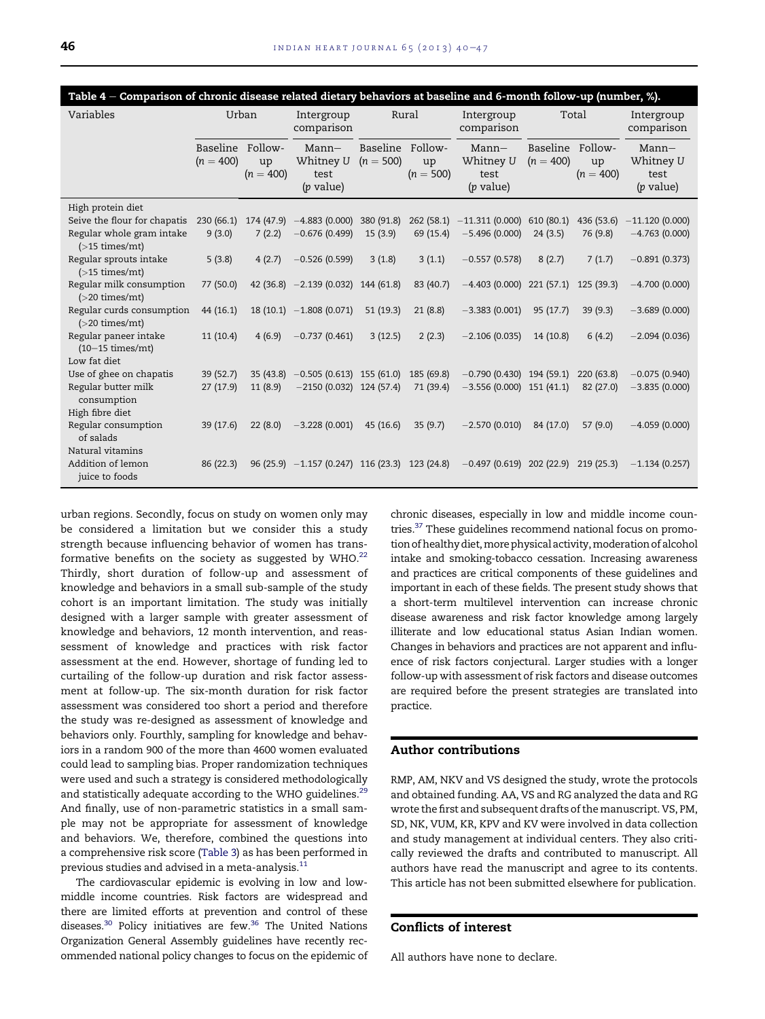<span id="page-6-0"></span>

| Table 4 – Comparison of chronic disease related dietary behaviors at baseline and 6-month follow-up (number, %). |                         |                                   |                                                |                                   |                   |                                             |                                 |                   |                                             |
|------------------------------------------------------------------------------------------------------------------|-------------------------|-----------------------------------|------------------------------------------------|-----------------------------------|-------------------|---------------------------------------------|---------------------------------|-------------------|---------------------------------------------|
| Variables<br>Urban                                                                                               |                         | Rural<br>Intergroup<br>comparison |                                                | Total<br>Intergroup<br>comparison |                   |                                             | Intergroup<br>comparison        |                   |                                             |
|                                                                                                                  | Baseline<br>$(n = 400)$ | Follow-<br>up<br>$(n = 400)$      | $Mann-$<br>Whitney U<br>test<br>$(p$ value)    | Baseline Follow-<br>$(n = 500)$   | up<br>$(n = 500)$ | $Mann-$<br>Whitney U<br>test<br>$(p$ value) | Baseline Follow-<br>$(n = 400)$ | up<br>$(n = 400)$ | $Mann-$<br>Whitney U<br>test<br>$(p$ value) |
| High protein diet                                                                                                |                         |                                   |                                                |                                   |                   |                                             |                                 |                   |                                             |
| Seive the flour for chapatis                                                                                     | 230(66.1)               |                                   | $174(47.9)$ $-4.883(0.000)$                    | 380 (91.8)                        |                   | $262(58.1) -11.311(0.000)$                  | 610 (80.1)                      | 436 (53.6)        | $-11.120(0.000)$                            |
| Regular whole gram intake<br>$($ >15 times/mt)                                                                   | 9(3.0)                  | 7(2.2)                            | $-0.676(0.499)$                                | 15(3.9)                           | 69 (15.4)         | $-5.496(0.000)$                             | 24(3.5)                         | 76 (9.8)          | $-4.763(0.000)$                             |
| Regular sprouts intake<br>$($ >15 times/mt $)$                                                                   | 5(3.8)                  | 4(2.7)                            | $-0.526(0.599)$                                | 3(1.8)                            | 3(1.1)            | $-0.557(0.578)$                             | 8(2.7)                          | 7(1.7)            | $-0.891(0.373)$                             |
| Regular milk consumption<br>$(>20 \text{ times/mL})$                                                             | 77 (50.0)               |                                   | 42 (36.8) $-2.139$ (0.032)                     | 144 (61.8)                        | 83 (40.7)         | $-4.403(0.000)$ 221 (57.1)                  |                                 | 125 (39.3)        | $-4.700(0.000)$                             |
| Regular curds consumption<br>$($ >20 times/mt)                                                                   | 44 (16.1)               |                                   | $18(10.1) -1.808(0.071)$                       | 51(19.3)                          | 21(8.8)           | $-3.383(0.001)$                             | 95(17.7)                        | 39(9.3)           | $-3.689(0.000)$                             |
| Regular paneer intake<br>$(10-15 \times mes/mL)$                                                                 | 11(10.4)                | 4(6.9)                            | $-0.737(0.461)$                                | 3(12.5)                           | 2(2.3)            | $-2.106(0.035)$                             | 14 (10.8)                       | 6(4.2)            | $-2.094(0.036)$                             |
| Low fat diet                                                                                                     |                         |                                   |                                                |                                   |                   |                                             |                                 |                   |                                             |
| Use of ghee on chapatis                                                                                          | 39 (52.7)               | 35(43.8)                          | $-0.505(0.613)$ 155 (61.0)                     |                                   | 185 (69.8)        | $-0.790(0.430)$ 194 (59.1)                  |                                 | 220(63.8)         | $-0.075(0.940)$                             |
| Regular butter milk<br>consumption                                                                               | 27(17.9)                | 11(8.9)                           | $-2150(0.032)$ 124 (57.4)                      |                                   | 71 (39.4)         | $-3.556(0.000)$ 151 (41.1)                  |                                 | 82 (27.0)         | $-3.835(0.000)$                             |
| High fibre diet                                                                                                  |                         |                                   |                                                |                                   |                   |                                             |                                 |                   |                                             |
| Regular consumption<br>of salads                                                                                 | 39(17.6)                | 22(8.0)                           | $-3.228(0.001)$                                | 45(16.6)                          | 35(9.7)           | $-2.570(0.010)$                             | 84 (17.0)                       | 57(9.0)           | $-4.059(0.000)$                             |
| Natural vitamins<br>Addition of lemon<br>juice to foods                                                          | 86(22.3)                |                                   | $96(25.9) -1.157(0.247)$ 116 (23.3) 123 (24.8) |                                   |                   | $-0.497(0.619)$ 202 (22.9) 219 (25.3)       |                                 |                   | $-1.134(0.257)$                             |

urban regions. Secondly, focus on study on women only may be considered a limitation but we consider this a study strength because influencing behavior of women has transformative benefits on the society as suggested by WHO. $^{22}$  $^{22}$  $^{22}$ Thirdly, short duration of follow-up and assessment of knowledge and behaviors in a small sub-sample of the study cohort is an important limitation. The study was initially designed with a larger sample with greater assessment of knowledge and behaviors, 12 month intervention, and reassessment of knowledge and practices with risk factor assessment at the end. However, shortage of funding led to curtailing of the follow-up duration and risk factor assessment at follow-up. The six-month duration for risk factor assessment was considered too short a period and therefore the study was re-designed as assessment of knowledge and behaviors only. Fourthly, sampling for knowledge and behaviors in a random 900 of the more than 4600 women evaluated could lead to sampling bias. Proper randomization techniques were used and such a strategy is considered methodologically and statistically adequate according to the WHO guidelines.<sup>[29](#page-7-0)</sup> And finally, use of non-parametric statistics in a small sample may not be appropriate for assessment of knowledge and behaviors. We, therefore, combined the questions into a comprehensive risk score ([Table 3](#page-5-0)) as has been performed in previous studies and advised in a meta-analysis.<sup>11</sup>

The cardiovascular epidemic is evolving in low and lowmiddle income countries. Risk factors are widespread and there are limited efforts at prevention and control of these diseases.<sup>30</sup> Policy initiatives are few.<sup>36</sup> The United Nations Organization General Assembly guidelines have recently recommended national policy changes to focus on the epidemic of chronic diseases, especially in low and middle income countries[.37](#page-7-0) These guidelines recommend national focus on promotion of healthy diet, more physical activity, moderation of alcohol intake and smoking-tobacco cessation. Increasing awareness and practices are critical components of these guidelines and important in each of these fields. The present study shows that a short-term multilevel intervention can increase chronic disease awareness and risk factor knowledge among largely illiterate and low educational status Asian Indian women. Changes in behaviors and practices are not apparent and influence of risk factors conjectural. Larger studies with a longer follow-up with assessment of risk factors and disease outcomes are required before the present strategies are translated into practice.

# Author contributions

RMP, AM, NKV and VS designed the study, wrote the protocols and obtained funding. AA, VS and RG analyzed the data and RG wrote the first and subsequent drafts of themanuscript. VS, PM, SD, NK, VUM, KR, KPV and KV were involved in data collection and study management at individual centers. They also critically reviewed the drafts and contributed to manuscript. All authors have read the manuscript and agree to its contents. This article has not been submitted elsewhere for publication.

# Conflicts of interest

All authors have none to declare.